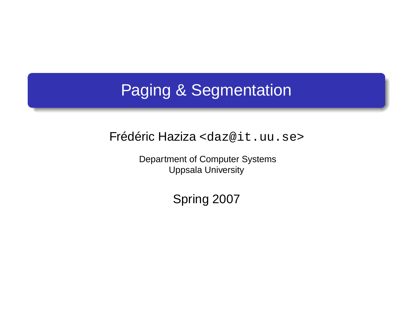# Paging & Segmentation

Frédéric Haziza <daz@it.uu.se>

Department of Computer Systems Uppsala University

Spring 2007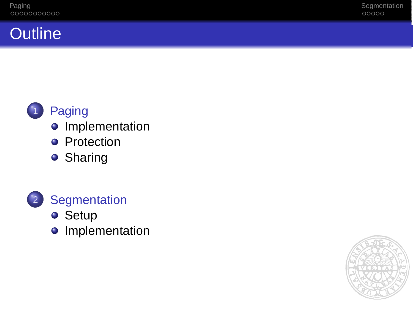## **Outline**



## **o** Implementation

- **•** Protection
- **o** Sharing



- **•** Setup
- **o** Implementation

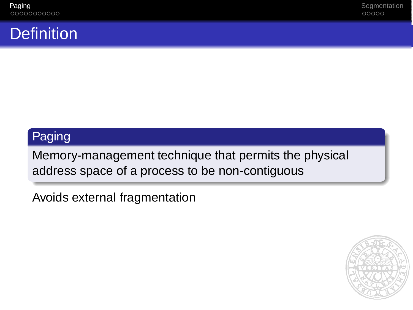## **Definition**

## Paging

Memory-management technique that permits the physical address space of a process to be non-contiguous

Avoids external fragmentation

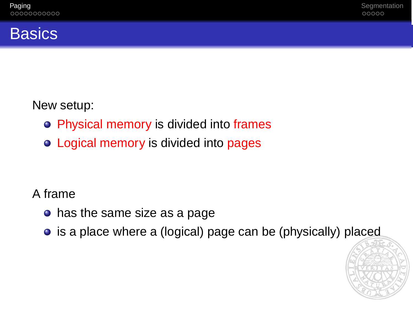## **Basics**

New setup:

- Physical memory is divided into frames
- Logical memory is divided into pages

A frame

- has the same size as a page
- is a place where a (logical) page can be (physically) placed

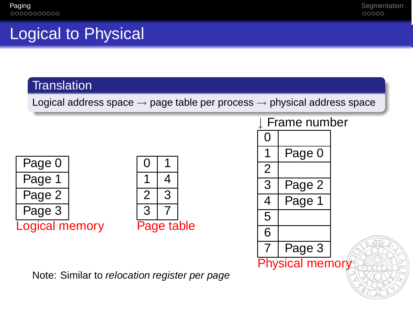# Logical to Physical

#### **Translation**

Logical address space  $\rightarrow$  page table per process  $\rightarrow$  physical address space





Note: Similar to relocation register per page

#### **Frame number**

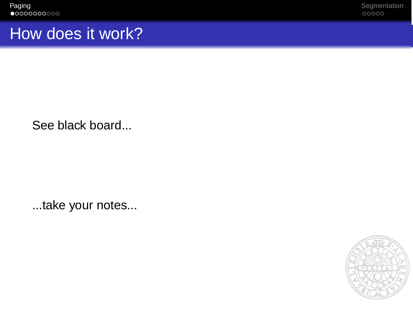Paging Segmentation and the set of the set of the set of the set of the set of the set of the set of the set of the set of the set of the set of the set of the set of the set of the set of the set of the set of the set of

## How does it work?

See black board...

...take your notes...

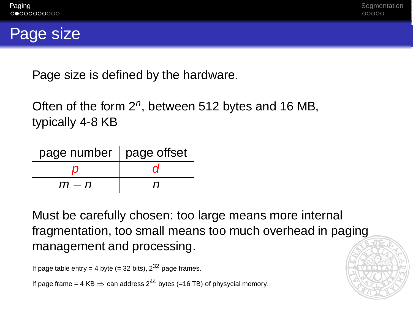

Page size is defined by the hardware.

Often of the form  $2^n$ , between 512 bytes and 16 MB, typically 4-8 KB

| page number   page offset |   |
|---------------------------|---|
|                           |   |
| m — n                     | n |

Must be carefully chosen: too large means more internal fragmentation, too small means too much overhead in paging management and processing.

```
If page table entry = 4 byte (= 32 bits), 2^{32} page frames.
```
If page frame = 4 KB  $\Rightarrow$  can address 2<sup>44</sup> bytes (=16 TB) of physycial memory.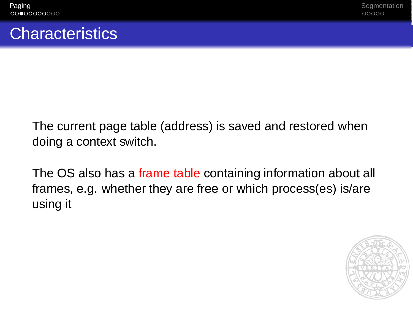## **Characteristics**

The current page table (address) is saved and restored when doing a context switch.

The OS also has a frame table containing information about all frames, e.g. whether they are free or which process(es) is/are using it

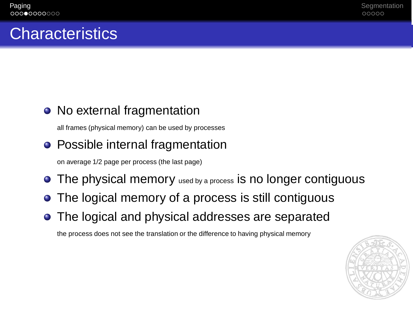## **Characteristics**

## • No external fragmentation

all frames (physical memory) can be used by processes

## • Possible internal fragmentation

on average 1/2 page per process (the last page)

- **•** The physical memory used by a process is no longer contiguous
- The logical memory of a process is still contiguous
- The logical and physical addresses are separated

the process does not see the translation or the difference to having physical memory

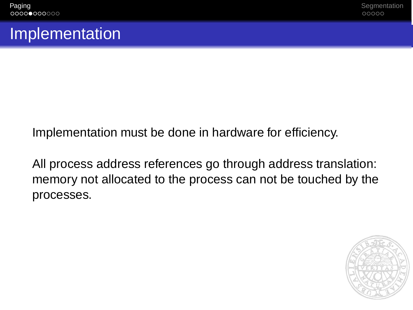## Implementation

Implementation must be done in hardware for efficiency.

All process address references go through address translation: memory not allocated to the process can not be touched by the processes.

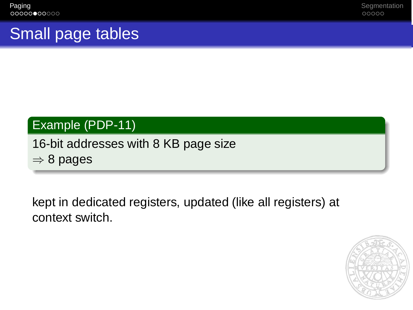Paging Segmentation and the set of the set of the set of the set of the set of the set of the set of the set of the set of the set of the set of the set of the set of the set of the set of the set of the set of the set of

# Small page tables

## Example (PDP-11)

### 16-bit addresses with 8 KB page size  $\Rightarrow$  8 pages

kept in dedicated registers, updated (like all registers) at context switch.

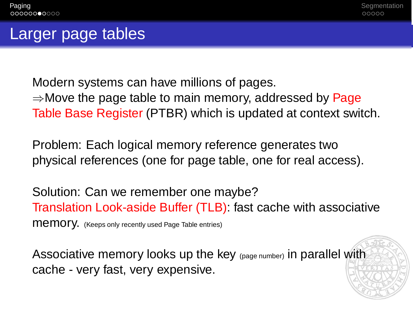## Larger page tables

Modern systems can have millions of pages.  $\Rightarrow$ Move the page table to main memory, addressed by Page Table Base Register (PTBR) which is updated at context switch.

Problem: Each logical memory reference generates two physical references (one for page table, one for real access).

Solution: Can we remember one maybe? Translation Look-aside Buffer (TLB): fast cache with associative memory. (Keeps only recently used Page Table entries)

Associative memory looks up the key (page number) in parallel with cache - very fast, very expensive.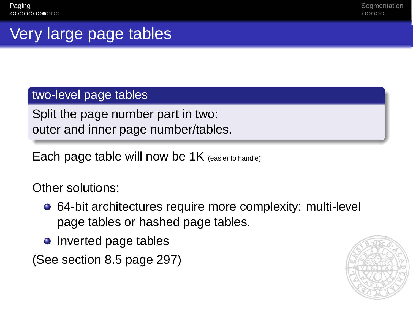# Very large page tables

#### two-level page tables

Split the page number part in two: outer and inner page number/tables.

Each page table will now be 1K (easier to handle)

Other solutions:

- 64-bit architectures require more complexity: multi-level page tables or hashed page tables.
- Inverted page tables

(See section 8.5 page 297)

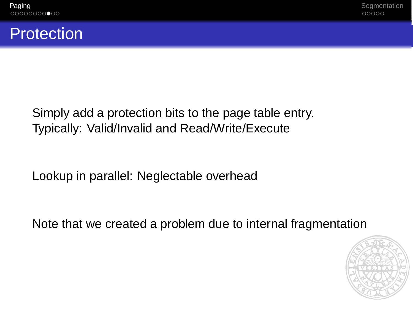## **Protection**

Simply add a protection bits to the page table entry. Typically: Valid/Invalid and Read/Write/Execute

Lookup in parallel: Neglectable overhead

Note that we created a problem due to internal fragmentation

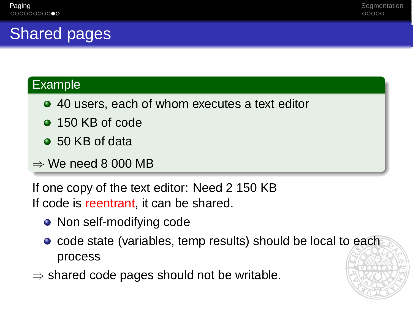# Shared pages

#### Example

- 40 users, each of whom executes a text editor
- 150 KB of code
- 50 KB of data
- $\Rightarrow$  We need 8 000 MB

If one copy of the text editor: Need 2 150 KB If code is reentrant, it can be shared.

- Non self-modifying code
- **•** code state (variables, temp results) should be local to each process
- $\Rightarrow$  shared code pages should not be writable.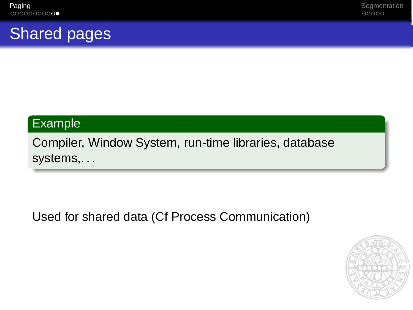# Shared pages

### Example

Compiler, Window System, run-time libraries, database systems,...

Used for shared data (Cf Process Communication)

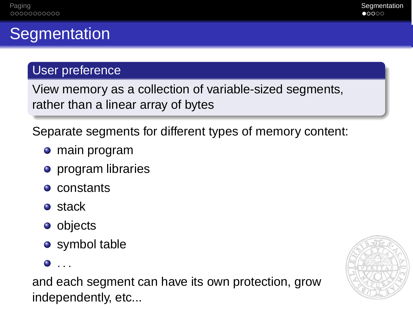# **Segmentation**

### User preference

View memory as a collection of variable-sized segments, rather than a linear array of bytes

Separate segments for different types of memory content:

- main program
- **•** program libraries
- constants
- **o** stack
- **o** objects
- **•** symbol table

 $\bullet$  ...

and each segment can have its own protection, grow independently, etc...

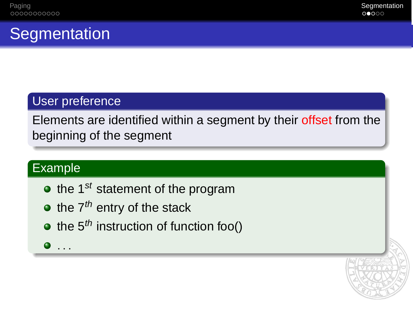# **Segmentation**

### User preference

Elements are identified within a segment by their offset from the beginning of the segment

### Example

- $\bullet$  the 1<sup>st</sup> statement of the program
- $\bullet$  the  $7<sup>th</sup>$  entry of the stack
- $\bullet$  the 5<sup>th</sup> instruction of function foo()
- $\bullet$  ...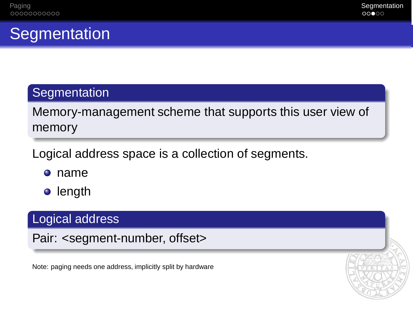# **Segmentation**

### **Segmentation**

Memory-management scheme that supports this user view of memory

Logical address space is a collection of segments.

- name
- length

### Logical address

Pair: <segment-number, offset>

Note: paging needs one address, implicitly split by hardware

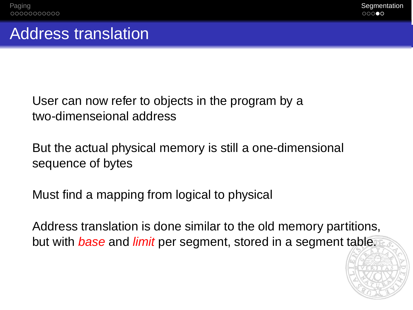## Address translation

User can now refer to objects in the program by a two-dimenseional address

But the actual physical memory is still a one-dimensional sequence of bytes

Must find a mapping from logical to physical

Address translation is done similar to the old memory partitions, but with *base* and *limit* per segment, stored in a segment table.